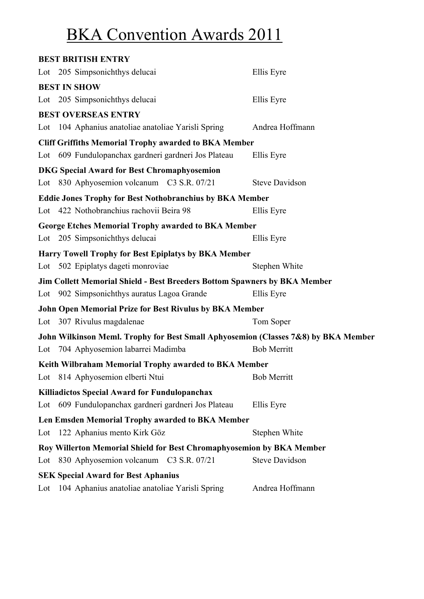# BKA Convention Awards 2011

| <b>BEST BRITISH ENTRY</b>                                                          |                       |
|------------------------------------------------------------------------------------|-----------------------|
| Lot 205 Simpsonichthys delucai                                                     | Ellis Eyre            |
| <b>BEST IN SHOW</b>                                                                |                       |
| Lot 205 Simpsonichthys delucai                                                     | Ellis Eyre            |
| <b>BEST OVERSEAS ENTRY</b>                                                         |                       |
| Lot 104 Aphanius anatoliae anatoliae Yarisli Spring                                | Andrea Hoffmann       |
| <b>Cliff Griffiths Memorial Trophy awarded to BKA Member</b>                       |                       |
| Lot 609 Fundulopanchax gardneri gardneri Jos Plateau                               | Ellis Eyre            |
| <b>DKG Special Award for Best Chromaphyosemion</b>                                 |                       |
| Lot 830 Aphyosemion volcanum C3 S.R. 07/21                                         | <b>Steve Davidson</b> |
| <b>Eddie Jones Trophy for Best Nothobranchius by BKA Member</b>                    |                       |
| Lot 422 Nothobranchius rachovii Beira 98                                           | Ellis Eyre            |
| George Etches Memorial Trophy awarded to BKA Member                                |                       |
| Lot 205 Simpsonichthys delucai                                                     | Ellis Eyre            |
| <b>Harry Towell Trophy for Best Epiplatys by BKA Member</b>                        |                       |
| Lot 502 Epiplatys dageti monroviae                                                 | Stephen White         |
| Jim Collett Memorial Shield - Best Breeders Bottom Spawners by BKA Member          |                       |
| Lot 902 Simpsonichthys auratus Lagoa Grande                                        | Ellis Eyre            |
| <b>John Open Memorial Prize for Best Rivulus by BKA Member</b>                     |                       |
| Lot 307 Rivulus magdalenae                                                         | Tom Soper             |
| John Wilkinson Meml. Trophy for Best Small Aphyosemion (Classes 7&8) by BKA Member |                       |
| Lot 704 Aphyosemion labarrei Madimba                                               | <b>Bob Merritt</b>    |
| Keith Wilbraham Memorial Trophy awarded to BKA Member                              |                       |
| Lot 814 Aphyosemion elberti Ntui                                                   | <b>Bob Merritt</b>    |
| <b>Killiadictos Special Award for Fundulopanchax</b>                               |                       |
| Lot 609 Fundulopanchax gardneri gardneri Jos Plateau                               | Ellis Eyre            |
| Len Emsden Memorial Trophy awarded to BKA Member                                   |                       |
| Lot 122 Aphanius mento Kirk Göz                                                    | Stephen White         |
| Roy Willerton Memorial Shield for Best Chromaphyosemion by BKA Member              |                       |
| Lot 830 Aphyosemion volcanum C3 S.R. 07/21                                         | <b>Steve Davidson</b> |
| <b>SEK Special Award for Best Aphanius</b>                                         |                       |
| Lot 104 Aphanius anatoliae anatoliae Yarisli Spring                                | Andrea Hoffmann       |
|                                                                                    |                       |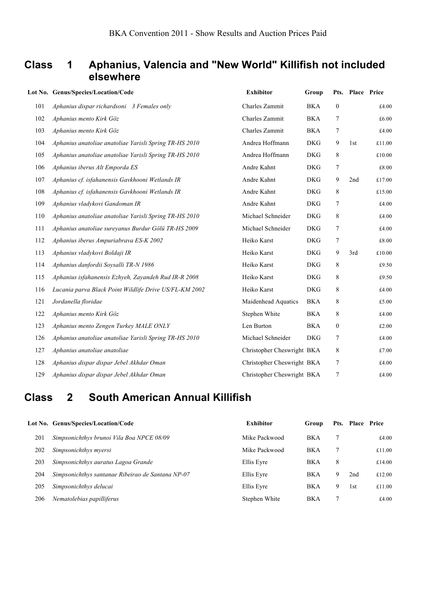### **Class 1 Aphanius, Valencia and "New World" Killifish not included elsewhere**

|     | Lot No. Genus/Species/Location/Code                    | <b>Exhibitor</b>           | Group      |              | Pts. Place Price |        |
|-----|--------------------------------------------------------|----------------------------|------------|--------------|------------------|--------|
| 101 | Aphanius dispar richardsoni 3 Females only             | Charles Zammit             | BKA        | $\bf{0}$     |                  | £4.00  |
| 102 | Aphanius mento Kirk Göz                                | Charles Zammit             | <b>BKA</b> | 7            |                  | £6.00  |
| 103 | Aphanius mento Kirk Göz                                | Charles Zammit             | <b>BKA</b> | 7            |                  | £4.00  |
| 104 | Aphanius anatoliae anatoliae Yarisli Spring TR-HS 2010 | Andrea Hoffmann            | <b>DKG</b> | 9            | 1st              | £11.00 |
| 105 | Aphanius anatoliae anatoliae Yarisli Spring TR-HS 2010 | Andrea Hoffmann            | <b>DKG</b> | 8            |                  | £10.00 |
| 106 | Aphanius iberus Alt Emporda ES                         | Andre Kahnt                | <b>DKG</b> | 7            |                  | £8.00  |
| 107 | Aphanius cf. isfahanensis Gavkhooni Wetlands IR        | Andre Kahnt                | <b>DKG</b> | 9            | 2nd              | £17.00 |
| 108 | Aphanius cf. isfahanensis Gavkhooni Wetlands IR        | Andre Kahnt                | <b>DKG</b> | 8            |                  | £15.00 |
| 109 | Aphanius vladykovi Gandoman IR                         | Andre Kahnt                | <b>DKG</b> | 7            |                  | £4.00  |
| 110 | Aphanius anatoliae anatoliae Yarisli Spring TR-HS 2010 | Michael Schneider          | <b>DKG</b> | 8            |                  | £4.00  |
| 111 | Aphanius anatoliae sureyanus Burdur Gölü TR-HS 2009    | Michael Schneider          | <b>DKG</b> | 7            |                  | £4.00  |
| 112 | Aphanius iberus Ampuriabrava ES-K 2002                 | Heiko Karst                | <b>DKG</b> | 7            |                  | £8.00  |
| 113 | Aphanius vladykovi Boldaji IR                          | Heiko Karst                | <b>DKG</b> | 9            | 3rd              | £10.00 |
| 114 | Aphanius danfordii Soysalli TR-N 1986                  | Heiko Karst                | <b>DKG</b> | 8            |                  | £9.50  |
| 115 | Aphanius isfahanensis Ezhyeh, Zayandeh Rud IR-R 2008   | Heiko Karst                | <b>DKG</b> | 8            |                  | £9.50  |
| 116 | Lucania parva Black Point Wildlife Drive US/FL-KM 2002 | Heiko Karst                | <b>DKG</b> | 8            |                  | £4.00  |
| 121 | Jordanella floridae                                    | Maidenhead Aquatics        | <b>BKA</b> | 8            |                  | £5.00  |
| 122 | Aphanius mento Kirk Göz                                | Stephen White              | <b>BKA</b> | 8            |                  | £4.00  |
| 123 | Aphanius mento Zengen Turkey MALE ONLY                 | Len Burton                 | <b>BKA</b> | $\mathbf{0}$ |                  | £2.00  |
| 126 | Aphanius anatoliae anatoliae Yarisli Spring TR-HS 2010 | Michael Schneider          | <b>DKG</b> | 7            |                  | £4.00  |
| 127 | Aphanius anatoliae anatoliae                           | Christopher Cheswright BKA |            | 8            |                  | £7.00  |
| 128 | Aphanius dispar dispar Jebel Akhdar Oman               | Christopher Cheswright BKA |            | 7            |                  | £4.00  |
| 129 | Aphanius dispar dispar Jebel Akhdar Oman               | Christopher Cheswright BKA |            | 7            |                  | £4.00  |

## **Class 2 South American Annual Killifish**

|     | Lot No. Genus/Species/Location/Code               | <b>Exhibitor</b> | Group      |   | Pts. Place Price |        |
|-----|---------------------------------------------------|------------------|------------|---|------------------|--------|
| 201 | Simpsonichthys brunoi Vila Boa NPCE 08/09         | Mike Packwood    | <b>BKA</b> |   |                  | £4.00  |
| 202 | Simpsonichthys myersi                             | Mike Packwood    | <b>BKA</b> |   |                  | £11.00 |
| 203 | Simpsonichthys auratus Lagoa Grande               | Ellis Eyre       | <b>BKA</b> | 8 |                  | £14.00 |
| 204 | Simpsonichthys santanae Ribeirao de Santana NP-07 | Ellis Eyre       | <b>BKA</b> | 9 | 2nd              | £12.00 |
| 205 | Simpsonichthys delucai                            | Ellis Eyre       | <b>BKA</b> | 9 | 1st              | £11.00 |
| 206 | Nematolebias papilliferus                         | Stephen White    | BKA        |   |                  | £4.00  |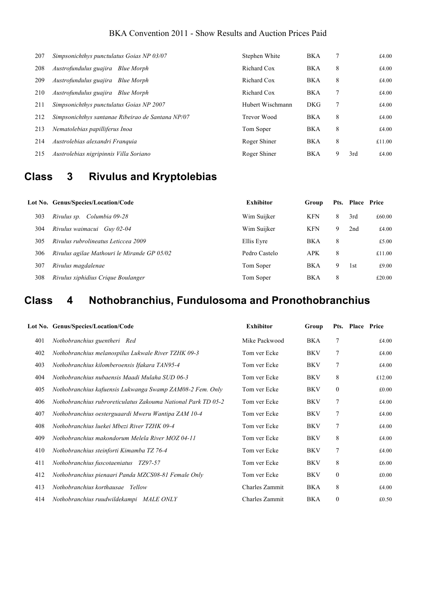#### BKA Convention 2011 - Show Results and Auction Prices Paid

| 207 | Simpsonichthys punctulatus Goias NP 03/07         | Stephen White    | <b>BKA</b> |   |     | £4.00  |
|-----|---------------------------------------------------|------------------|------------|---|-----|--------|
| 208 | Austrofundulus guajira Blue Morph                 | Richard Cox      | <b>BKA</b> | 8 |     | £4.00  |
| 209 | Austrofundulus guajira Blue Morph                 | Richard Cox      | <b>BKA</b> | 8 |     | £4.00  |
| 210 | Austrofundulus guajira Blue Morph                 | Richard Cox      | <b>BKA</b> | 7 |     | £4.00  |
| 211 | Simpsonichthys punctulatus Goias NP 2007          | Hubert Wischmann | <b>DKG</b> | 7 |     | £4.00  |
| 212 | Simpsonichthys santanae Ribeirao de Santana NP/07 | Trevor Wood      | <b>BKA</b> | 8 |     | £4.00  |
| 213 | Nematolebias papilliferus Inoa                    | Tom Soper        | <b>BKA</b> | 8 |     | £4.00  |
| 214 | Austrolebias alexandri Franquia                   | Roger Shiner     | <b>BKA</b> | 8 |     | £11.00 |
| 215 | Austrolebias nigripinnis Villa Soriano            | Roger Shiner     | <b>BKA</b> | 9 | 3rd | £4.00  |

# **Class 3 Rivulus and Kryptolebias**

|     | Lot No. Genus/Species/Location/Code         | <b>Exhibitor</b> | Group      |   | Pts. Place Price |        |
|-----|---------------------------------------------|------------------|------------|---|------------------|--------|
| 303 | Rivulus sp. Columbia 09-28                  | Wim Suijker      | KFN        | 8 | 3rd              | £60.00 |
| 304 | Rivulus waimacui Guy 02-04                  | Wim Suijker      | KFN        |   | 2nd              | £4.00  |
| 305 | Rivulus rubrolineatus Leticcea 2009         | Ellis Eyre       | <b>BKA</b> | 8 |                  | £5.00  |
| 306 | Rivulus agilae Mathouri le Mirande GP 05/02 | Pedro Castelo    | <b>APK</b> | 8 |                  | £11.00 |
| 307 | Rivulus magdalenae                          | Tom Soper        | <b>BKA</b> |   | 1st              | £9.00  |
| 308 | Rivulus xiphidius Crique Boulanger          | Tom Soper        | <b>BKA</b> | 8 |                  | £20.00 |

# **Class 4 Nothobranchius, Fundulosoma and Pronothobranchius**

|     | Lot No. Genus/Species/Location/Code                           | <b>Exhibitor</b> | Group      |              | Pts. Place Price |        |
|-----|---------------------------------------------------------------|------------------|------------|--------------|------------------|--------|
| 401 | Nothobranchius guentheri Red                                  | Mike Packwood    | BKA        | 7            |                  | £4.00  |
| 402 | Nothobranchius melanospilus Lukwale River TZHK 09-3           | Tom ver Ecke     | <b>BKV</b> | 7            |                  | £4.00  |
| 403 | Nothobranchius kilomberoensis Ifakara TAN95-4                 | Tom ver Ecke     | <b>BKV</b> | 7            |                  | £4.00  |
| 404 | Nothobranchius nubaensis Maadi Mulaha SUD 06-3                | Tom ver Ecke     | <b>BKV</b> | 8            |                  | £12.00 |
| 405 | Nothobranchius kafuensis Lukwanga Swamp ZAM08-2 Fem. Only     | Tom ver Ecke     | <b>BKV</b> | $\mathbf{0}$ |                  | £0.00  |
| 406 | Nothobranchius rubroreticulatus Zakouma National Park TD 05-2 | Tom ver Ecke     | <b>BKV</b> | $\tau$       |                  | £4.00  |
| 407 | Nothobranchius oesterguaardi Mweru Wantipa ZAM 10-4           | Tom ver Ecke     | <b>BKV</b> | $\tau$       |                  | £4.00  |
| 408 | Nothobranchius luekei Mbezi River TZHK 09-4                   | Tom ver Ecke     | BKV        | 7            |                  | £4.00  |
| 409 | Nothobranchius makondorum Melela River MOZ 04-11              | Tom ver Ecke     | <b>BKV</b> | 8            |                  | £4.00  |
| 410 | Nothobranchius steinforti Kimamba TZ 76-4                     | Tom ver Ecke     | <b>BKV</b> | 7            |                  | £4.00  |
| 411 | Nothobranchius fuscotaeniatus<br>TZ97-57                      | Tom ver Ecke     | <b>BKV</b> | 8            |                  | £6.00  |
| 412 | Nothobranchius pienaari Panda MZCS08-81 Female Only           | Tom ver Ecke     | <b>BKV</b> | $\mathbf{0}$ |                  | £0.00  |
| 413 | Nothobranchius korthausae Yellow                              | Charles Zammit   | BKA        | 8            |                  | £4.00  |
| 414 | Nothobranchius ruudwildekampi MALE ONLY                       | Charles Zammit   | <b>BKA</b> | $\mathbf{0}$ |                  | £0.50  |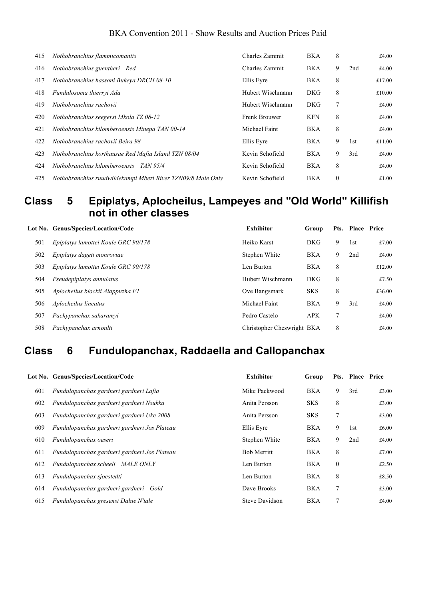#### BKA Convention 2011 - Show Results and Auction Prices Paid

| 415 | Nothobranchius flammicomantis                               | Charles Zammit   | <b>BKA</b> | 8            |     | £4.00  |
|-----|-------------------------------------------------------------|------------------|------------|--------------|-----|--------|
| 416 | Nothobranchius guentheri Red                                | Charles Zammit   | <b>BKA</b> | 9            | 2nd | £4.00  |
| 417 | Nothobranchius hassoni Bukeya DRCH 08-10                    | Ellis Eyre       | <b>BKA</b> | 8            |     | £17.00 |
| 418 | Fundulosoma thierryi Ada                                    | Hubert Wischmann | <b>DKG</b> | 8            |     | £10.00 |
| 419 | Nothobranchius rachovii                                     | Hubert Wischmann | <b>DKG</b> | 7            |     | £4.00  |
| 420 | Nothobranchius seegersi Mkola TZ 08-12                      | Frenk Brouwer    | <b>KFN</b> | 8            |     | £4.00  |
| 421 | Nothobranchius kilomberoensis Minepa TAN 00-14              | Michael Faint    | <b>BKA</b> | 8            |     | £4.00  |
| 422 | Nothobranchius rachovii Beira 98                            | Ellis Eyre       | <b>BKA</b> | 9            | 1st | £11.00 |
| 423 | Nothobranchius korthausae Red Mafia Island TZN 08/04        | Kevin Schofield  | <b>BKA</b> | 9            | 3rd | £4.00  |
| 424 | Nothobranchius kilomberoensis<br>TAN 95/4                   | Kevin Schofield  | <b>BKA</b> | 8            |     | £4.00  |
| 425 | Nothobranchius ruudwildekampi Mbezi River TZN09/8 Male Only | Kevin Schofield  | <b>BKA</b> | $\mathbf{0}$ |     | £1.00  |

## **Class 5 Epiplatys, Aplocheilus, Lampeyes and "Old World" Killifish not in other classes**

|     | Lot No. Genus/Species/Location/Code | <b>Exhibitor</b>           | Group      |   | Pts. Place Price |        |
|-----|-------------------------------------|----------------------------|------------|---|------------------|--------|
| 501 | Epiplatys lamottei Koule GRC 90/178 | Heiko Karst                | DKG        | 9 | 1st              | £7.00  |
| 502 | Epiplatys dageti monroviae          | Stephen White              | <b>BKA</b> | 9 | 2nd              | £4.00  |
| 503 | Epiplatys lamottei Koule GRC 90/178 | Len Burton                 | <b>BKA</b> | 8 |                  | £12.00 |
| 504 | Pseudepiplatys annulatus            | Hubert Wischmann           | <b>DKG</b> | 8 |                  | £7.50  |
| 505 | Aplocheilus blockii Alappuzha F1    | Ove Bangsmark              | <b>SKS</b> | 8 |                  | £36.00 |
| 506 | Aplocheilus lineatus                | Michael Faint              | BKA        | 9 | 3rd              | £4.00  |
| 507 | Pachypanchax sakaramyi              | Pedro Castelo              | <b>APK</b> |   |                  | £4.00  |
| 508 | Pachypanchax arnoulti               | Christopher Cheswright BKA |            | 8 |                  | £4.00  |

# **Class 6 Fundulopanchax, Raddaella and Callopanchax**

|     | Lot No. Genus/Species/Location/Code          | <b>Exhibitor</b>      | Group      |              | Pts. Place Price |       |
|-----|----------------------------------------------|-----------------------|------------|--------------|------------------|-------|
| 601 | Fundulopanchax gardneri gardneri Lafia       | Mike Packwood         | <b>BKA</b> | 9            | 3rd              | £3.00 |
| 602 | Fundulopanchax gardneri gardneri Nsukka      | Anita Persson         | <b>SKS</b> | 8            |                  | £3.00 |
| 603 | Fundulopanchax gardneri gardneri Uke 2008    | Anita Persson         | <b>SKS</b> | 7            |                  | £3.00 |
| 609 | Fundulopanchax gardneri gardneri Jos Plateau | Ellis Eyre            | BKA        | 9            | 1st              | £6.00 |
| 610 | Fundulopanchax oeseri                        | Stephen White         | <b>BKA</b> | 9            | 2nd              | £4.00 |
| 611 | Fundulopanchax gardneri gardneri Jos Plateau | <b>Bob Merritt</b>    | <b>BKA</b> | 8            |                  | £7.00 |
| 612 | Fundulopanchax scheeli MALE ONLY             | Len Burton            | <b>BKA</b> | $\mathbf{0}$ |                  | £2.50 |
| 613 | Fundulopanchax sjoestedti                    | Len Burton            | <b>BKA</b> | 8            |                  | £8.50 |
| 614 | Fundulopanchax gardneri gardneri Gold        | Dave Brooks           | <b>BKA</b> | 7            |                  | £3.00 |
| 615 | Fundulopanchax gresensi Dalue N'tale         | <b>Steve Davidson</b> | <b>BKA</b> |              |                  | £4.00 |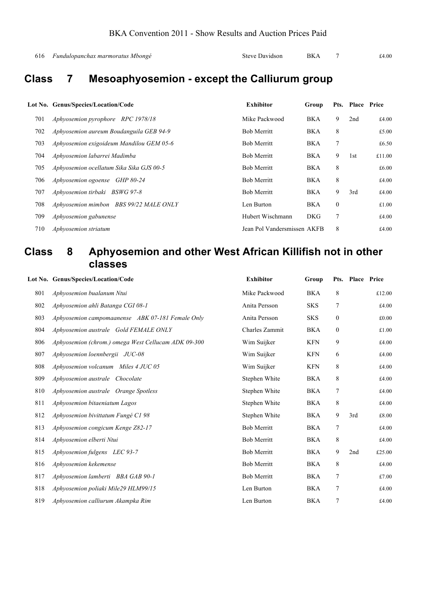```
616 Fundulopanchax marmoratus Mbongé Steve Davidson BKA 7 £4.00
```
# **Class 7 Mesoaphyosemion - except the Calliurum group**

|     | Lot No. Genus/Species/Location/Code      | <b>Exhibitor</b>            | Group      |              | Pts. Place Price |        |
|-----|------------------------------------------|-----------------------------|------------|--------------|------------------|--------|
| 701 | Aphyosemion pyrophore RPC 1978/18        | Mike Packwood               | <b>BKA</b> | 9            | 2nd              | £4.00  |
| 702 | Aphyosemion aureum Boudanguila GEB 94-9  | <b>Bob Merritt</b>          | <b>BKA</b> | 8            |                  | £5.00  |
| 703 | Aphyosemion exigoideum Mandilou GEM 05-6 | <b>Bob Merritt</b>          | <b>BKA</b> | 7            |                  | £6.50  |
| 704 | Aphyosemion labarrei Madimba             | <b>Bob Merritt</b>          | BKA        | 9            | 1st              | £11.00 |
| 705 | Aphyosemion ocellatum Sika Sika GJS 00-5 | <b>Bob Merritt</b>          | BKA        | 8            |                  | £6.00  |
| 706 | Aphyosemion ogoense GHP 80-24            | <b>Bob Merritt</b>          | <b>BKA</b> | 8            |                  | £4.00  |
| 707 | Aphyosemion tirbaki BSWG 97-8            | <b>Bob Merritt</b>          | BKA        | 9            | 3rd              | £4.00  |
| 708 | Aphyosemion mimbon BBS 99/22 MALE ONLY   | Len Burton                  | BKA        | $\mathbf{0}$ |                  | £1.00  |
| 709 | Aphyosemion gabunense                    | Hubert Wischmann            | <b>DKG</b> | 7            |                  | £4.00  |
| 710 | Aphyosemion striatum                     | Jean Pol Vandersmissen AKFB |            | 8            |                  | £4.00  |

### **Class 8 Aphyosemion and other West African Killifish not in other classes**

|     | Lot No. Genus/Species/Location/Code                 | <b>Exhibitor</b>   | Group      |                  | Pts. Place Price |               |
|-----|-----------------------------------------------------|--------------------|------------|------------------|------------------|---------------|
| 801 | Aphyosemion bualanum Ntui                           | Mike Packwood      | <b>BKA</b> | 8                |                  | £12.00        |
| 802 | Aphyosemion ahli Batanga CGI 08-1                   | Anita Persson      | <b>SKS</b> | 7                |                  | £4.00         |
| 803 | Aphyosemion campomaanense ABK 07-181 Female Only    | Anita Persson      | <b>SKS</b> | $\boldsymbol{0}$ |                  | £0.00         |
| 804 | Aphyosemion australe Gold FEMALE ONLY               | Charles Zammit     | <b>BKA</b> | $\boldsymbol{0}$ |                  | £1.00         |
| 806 | Aphyosemion (chrom.) omega West Cellucam ADK 09-300 | Wim Suijker        | <b>KFN</b> | 9                |                  | £4.00         |
| 807 | Aphyosemion loennbergii JUC-08                      | Wim Suijker        | <b>KFN</b> | 6                |                  | £4.00         |
| 808 | Aphyosemion volcanum Miles 4 JUC 05                 | Wim Suijker        | <b>KFN</b> | 8                |                  | £4.00         |
| 809 | Aphyosemion australe Chocolate                      | Stephen White      | <b>BKA</b> | 8                |                  | £4.00         |
| 810 | Aphyosemion australe Orange Spotless                | Stephen White      | <b>BKA</b> | 7                |                  | £4.00         |
| 811 | Aphyosemion bitaeniatum Lagos                       | Stephen White      | <b>BKA</b> | 8                |                  | £4.00         |
| 812 | Aphyosemion bivittatum Fungé C1 98                  | Stephen White      | <b>BKA</b> | 9                | 3rd              | $\pounds8.00$ |
| 813 | Aphyosemion congicum Kenge Z82-17                   | <b>Bob Merritt</b> | <b>BKA</b> | 7                |                  | £4.00         |
| 814 | Aphyosemion elberti Ntui                            | <b>Bob Merritt</b> | BKA        | 8                |                  | £4.00         |
| 815 | Aphyosemion fulgens LEC 93-7                        | <b>Bob Merritt</b> | <b>BKA</b> | 9                | 2nd              | £25.00        |
| 816 | Aphyosemion kekemense                               | <b>Bob Merritt</b> | <b>BKA</b> | 8                |                  | £4.00         |
| 817 | Aphyosemion lamberti BBA GAB 90-1                   | <b>Bob Merritt</b> | <b>BKA</b> | 7                |                  | £7.00         |
| 818 | Aphyosemion poliaki Mile29 HLM99/15                 | Len Burton         | <b>BKA</b> | 7                |                  | £4.00         |
| 819 | Aphyosemion calliurum Akampka Rim                   | Len Burton         | <b>BKA</b> | 7                |                  | £4.00         |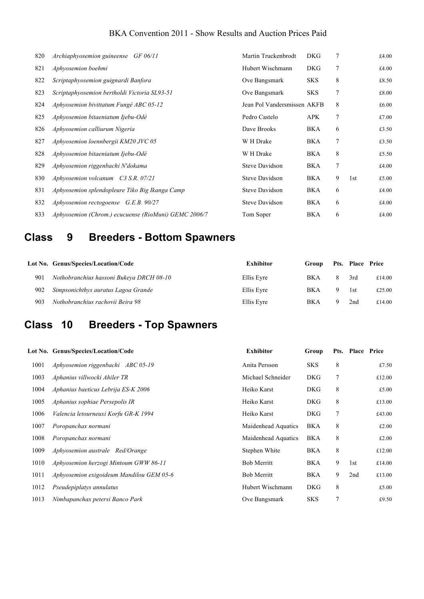#### BKA Convention 2011 - Show Results and Auction Prices Paid

| 820 | Archiaphyosemion guineense GF 06/11                  | Martin Truckenbrodt         | <b>DKG</b> | 7 |     | £4.00 |
|-----|------------------------------------------------------|-----------------------------|------------|---|-----|-------|
| 821 | Aphyosemion boehmi                                   | Hubert Wischmann            | <b>DKG</b> | 7 |     | £4.00 |
| 822 | Scriptaphyosemion guignardi Banfora                  | Ove Bangsmark               | <b>SKS</b> | 8 |     | £8.50 |
| 823 | Scriptaphyosemion bertholdi Victoria SL93-51         | Ove Bangsmark               | <b>SKS</b> | 7 |     | £8.00 |
| 824 | Aphyosemion bivittatum Fungé ABC 05-12               | Jean Pol Vandersmissen AKFB |            | 8 |     | £6.00 |
| 825 | Aphyosemion bitaeniatum Ijebu-Odé                    | Pedro Castelo               | APK.       | 7 |     | £7.00 |
| 826 | Aphyosemion calliurum Nigeria                        | Dave Brooks                 | BKA        | 6 |     | £3.50 |
| 827 | Aphyosemion loennbergii KM20 JVC 05                  | W H Drake                   | BKA        | 7 |     | £3.50 |
| 828 | Aphyosemion bitaeniatum Ijebu-Odé                    | W H Drake                   | BKA        | 8 |     | £5.50 |
| 829 | Aphyosemion riggenbachi N'dokama                     | <b>Steve Davidson</b>       | BKA        | 7 |     | £4.00 |
| 830 | Aphyosemion volcanum C3 S.R. 07/21                   | <b>Steve Davidson</b>       | BKA        | 9 | 1st | £5.00 |
| 831 | Aphyosemion splendopleure Tiko Big Ikanga Camp       | <b>Steve Davidson</b>       | BKA        | 6 |     | £4.00 |
| 832 | Aphyosemion rectogoense $G.E.B. 90/27$               | <b>Steve Davidson</b>       | BKA        | 6 |     | £4.00 |
| 833 | Aphyosemion (Chrom.) ecucuense (RioMuni) GEMC 2006/7 | Tom Soper                   | BKA        | 6 |     | £4.00 |

# **Class 9 Breeders - Bottom Spawners**

|     | Lot No. Genus/Species/Location/Code      | <b>Exhibitor</b> | Group      |   | Pts. Place Price |        |
|-----|------------------------------------------|------------------|------------|---|------------------|--------|
| 901 | Nothobranchius hassoni Bukeya DRCH 08-10 | Ellis Eyre       | <b>BKA</b> | 8 | 3rd              | £14.00 |
| 902 | Simpsonichthys auratus Lagoa Grande      | Ellis Eyre       | <b>BKA</b> |   | 1st              | £25.00 |
| 903 | Nothobranchius rachovii Beira 98         | Ellis Eyre       | <b>BKA</b> |   | 2nd              | £14.00 |

# **Class 10 Breeders - Top Spawners**

|      | Lot No. Genus/Species/Location/Code      | <b>Exhibitor</b>    | Group      | Pts. | <b>Place Price</b> |        |
|------|------------------------------------------|---------------------|------------|------|--------------------|--------|
| 1001 | Aphyosemion riggenbachi ABC 05-19        | Anita Persson       | <b>SKS</b> | 8    |                    | £7.50  |
| 1003 | Aphanius villwocki Ahiler TR             | Michael Schneider   | <b>DKG</b> | 7    |                    | £12.00 |
| 1004 | Aphanius baeticus Lebrija ES-K 2006      | Heiko Karst         | <b>DKG</b> | 8    |                    | £5.00  |
| 1005 | Aphanius sophiae Persepolis IR           | Heiko Karst         | <b>DKG</b> | 8    |                    | £13.00 |
| 1006 | Valencia letourneuxi Korfu GR-K 1994     | Heiko Karst         | <b>DKG</b> | 7    |                    | £43.00 |
| 1007 | Poropanchax normani                      | Maidenhead Aquatics | BKA        | 8    |                    | £2.00  |
| 1008 | Poropanchax normani                      | Maidenhead Aquatics | BKA        | 8    |                    | £2.00  |
| 1009 | Aphyosemion australe Red/Orange          | Stephen White       | BKA        | 8    |                    | £12.00 |
| 1010 | Aphyosemion herzogi Mintoum GWW 86-11    | <b>Bob Merritt</b>  | BKA        | 9    | 1st                | £14.00 |
| 1011 | Aphyosemion exigoideum Mandilou GEM 05-6 | <b>Bob Merritt</b>  | BKA        | 9    | 2nd                | £13.00 |
| 1012 | Pseudepiplatys annulatus                 | Hubert Wischmann    | <b>DKG</b> | 8    |                    | £5.00  |
| 1013 | Nimbapanchax petersi Banco Park          | Ove Bangsmark       | <b>SKS</b> |      |                    | £9.50  |